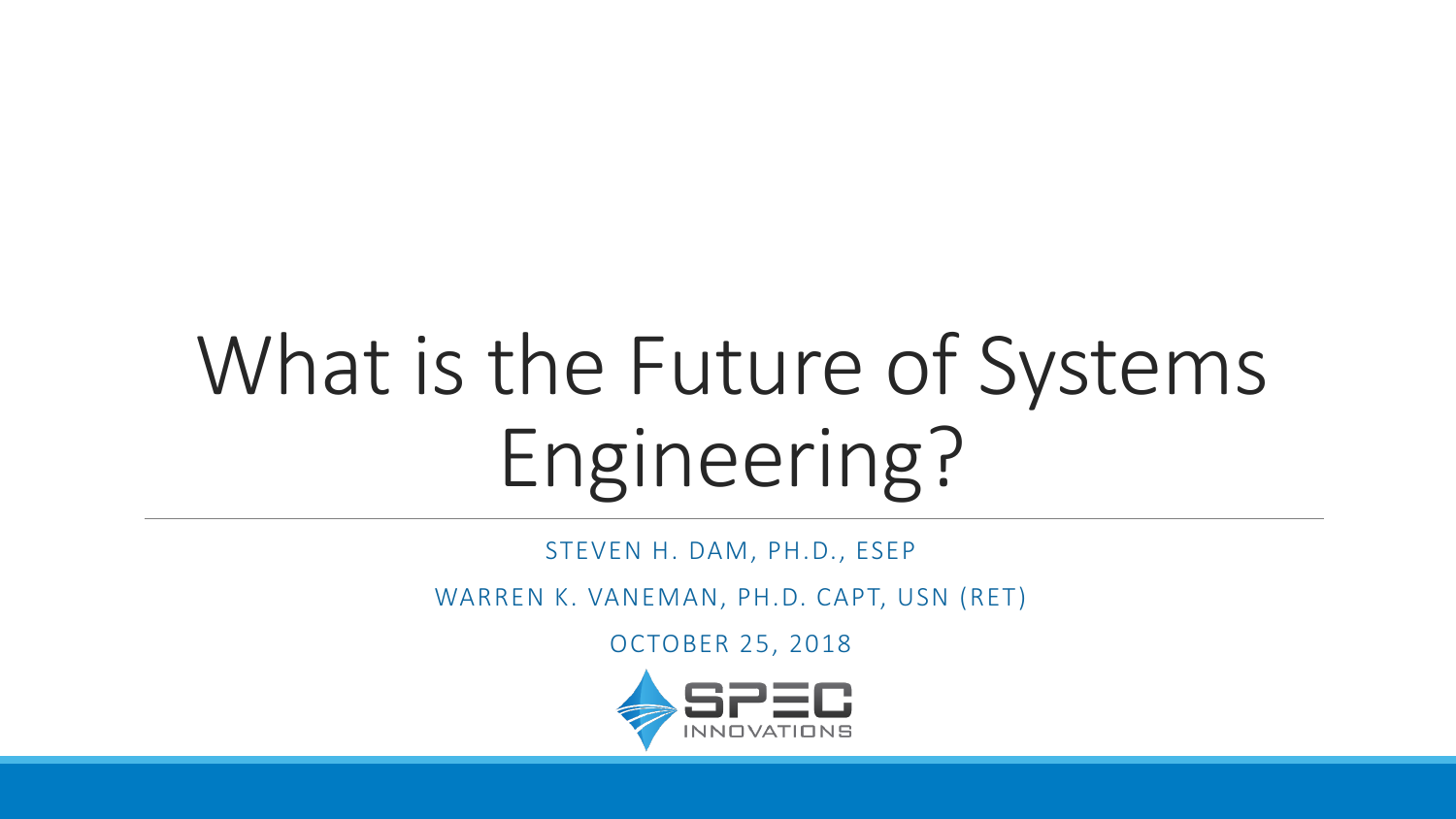# What is the Future of Systems Engineering?

STEVEN H. DAM, PH.D., ESEP

WARREN K. VANEMAN, PH.D. CAPT, USN (RET)

OCTOBER 25, 2018

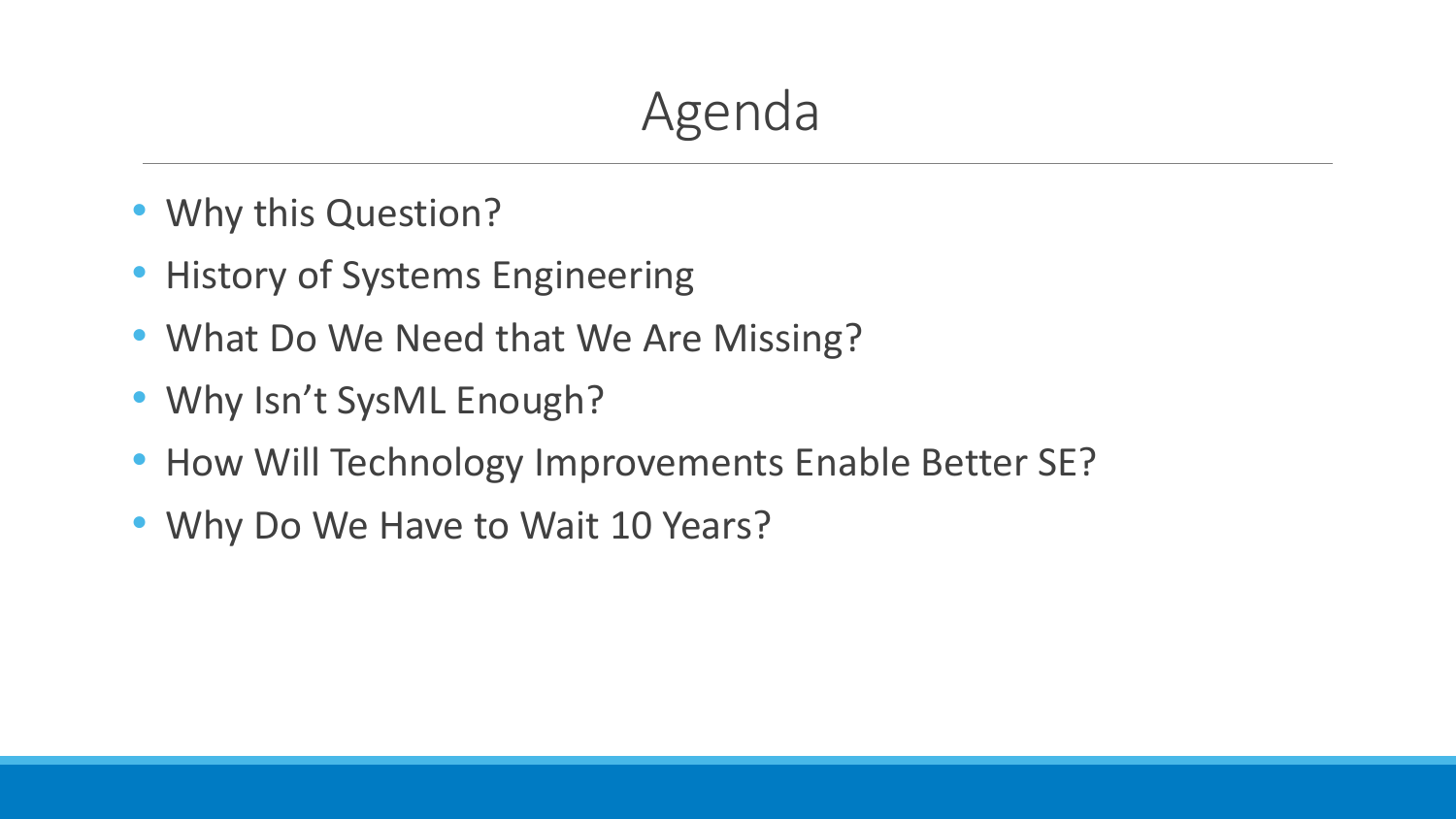## Agenda

- Why this Question?
- History of Systems Engineering
- What Do We Need that We Are Missing?
- Why Isn't SysML Enough?
- How Will Technology Improvements Enable Better SE?
- Why Do We Have to Wait 10 Years?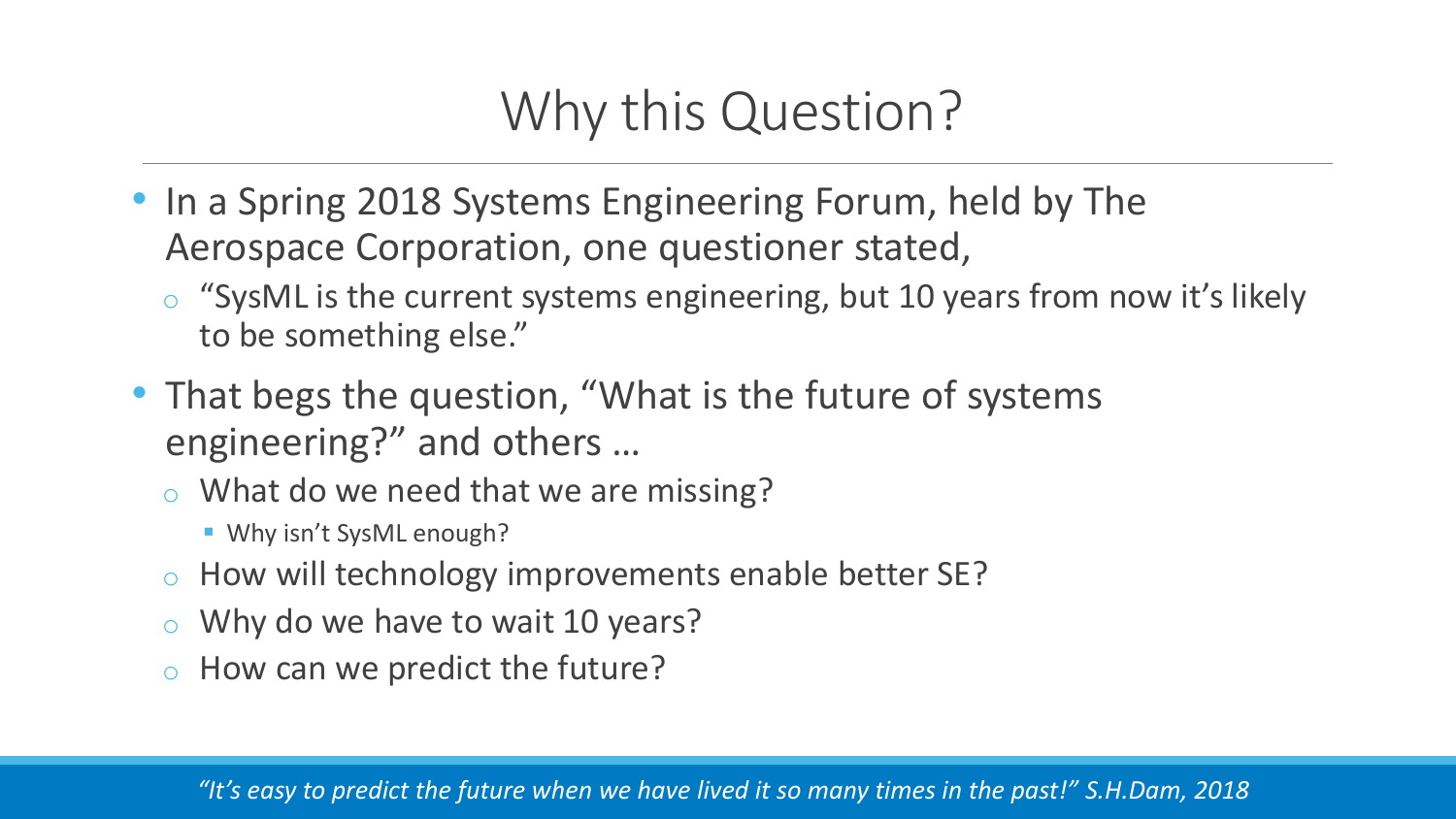### Why this Question?

- In a Spring 2018 Systems Engineering Forum, held by The Aerospace Corporation, one questioner stated,
	- o "SysML is the current systems engineering, but 10 years from now it's likely to be something else."
- That begs the question, "What is the future of systems engineering?" and others …
	- o What do we need that we are missing?
		- **.** Why isn't SysML enough?
	- o How will technology improvements enable better SE?
	- o Why do we have to wait 10 years?
	- o How can we predict the future?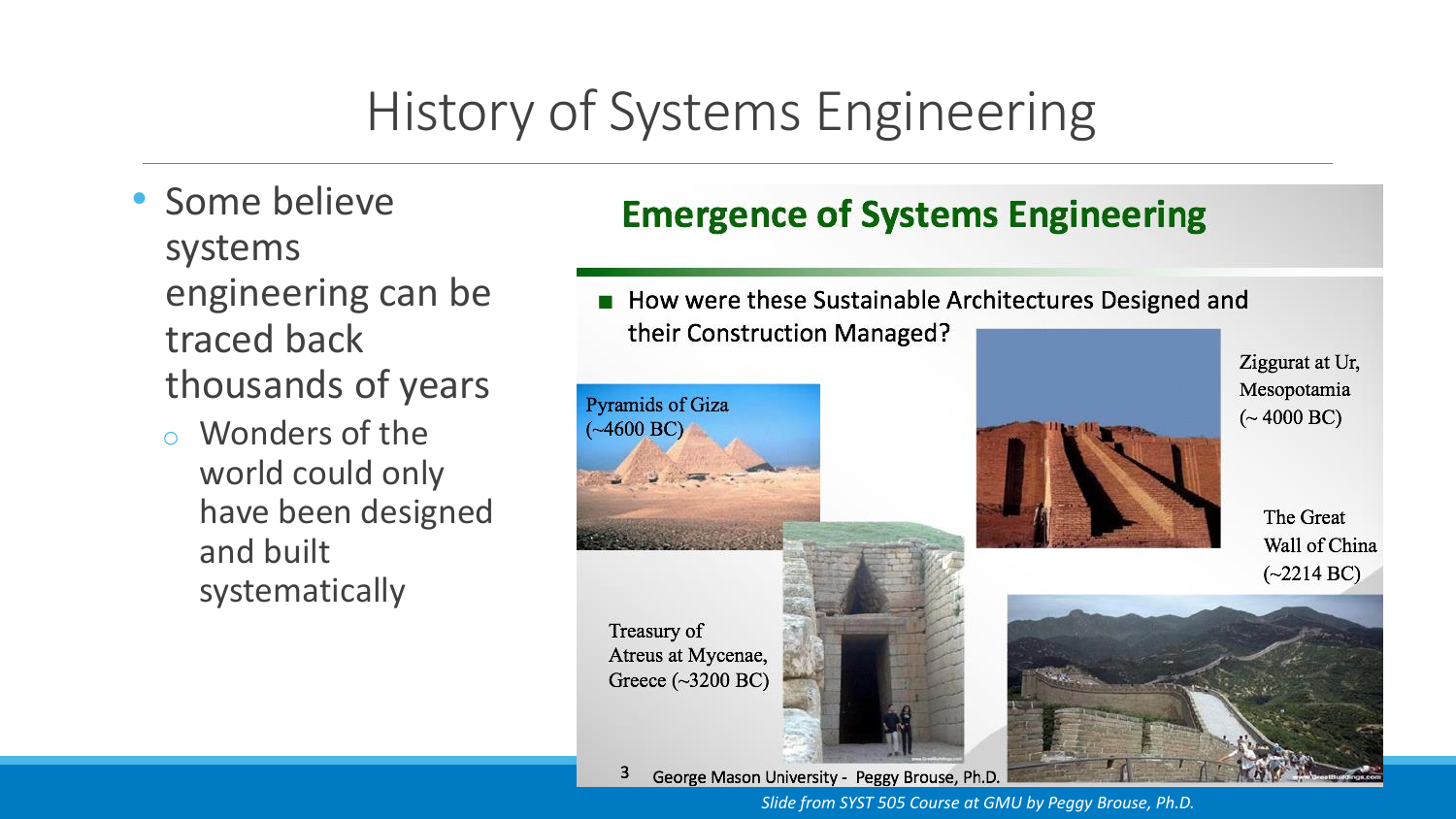## History of Systems Engineering

- Some believe systems engineering can be traced back thousands of years
	- o Wonders of the world could only have been designed and built systematically

### **Emergence of Systems Engineering**

■ How were these Sustainable Architectures Designed and their Construction Managed?



Ziggurat at Ur,

George Mason University - Peggy Brouse, Ph.D. з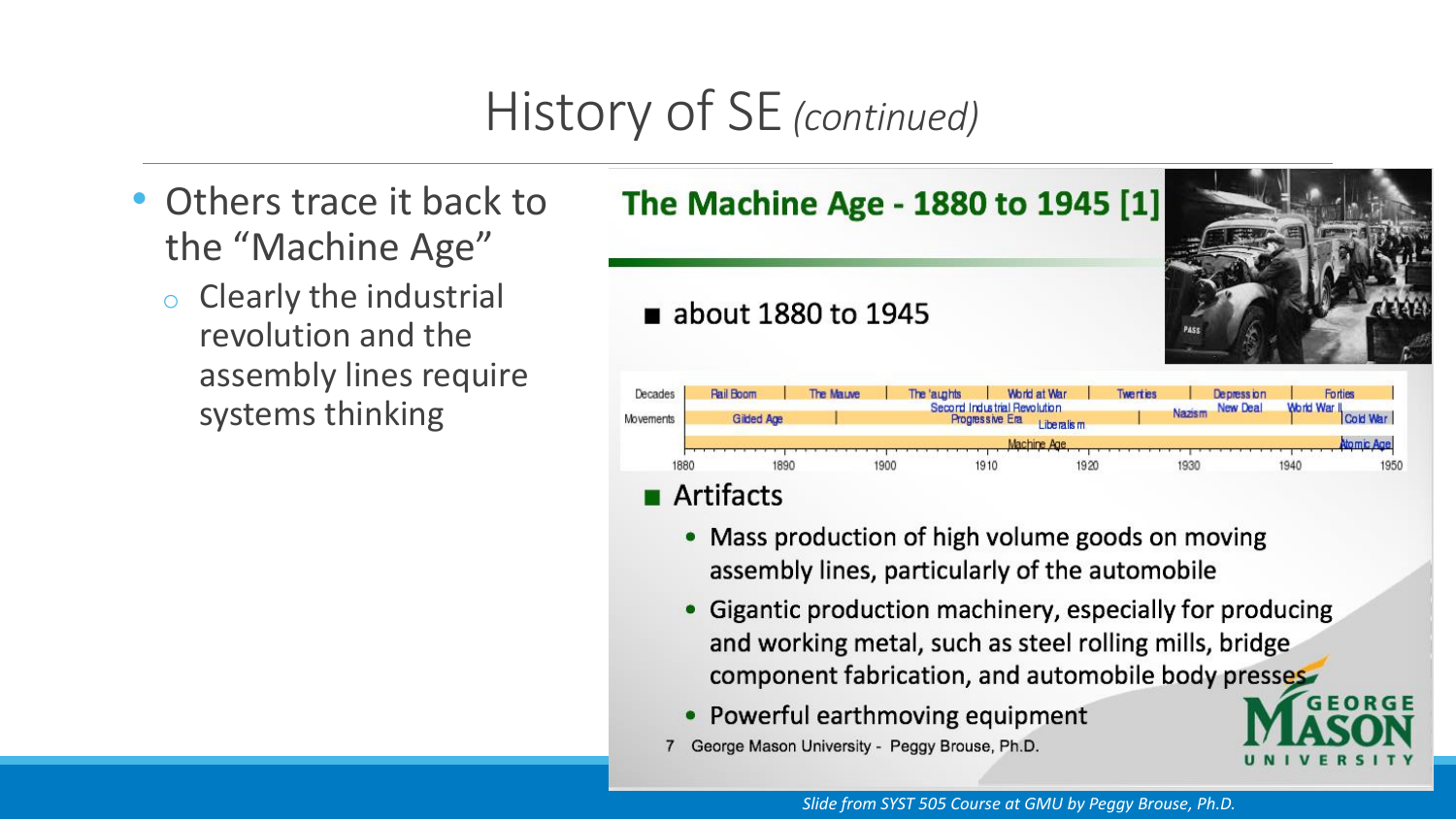## History of SE *(continued)*

- Others trace it back to the "Machine Age"
	- o Clearly the industrial revolution and the assembly lines require systems thinking

### The Machine Age - 1880 to 1945 [1]

### about 1880 to 1945



- Mass production of high volume goods on moving assembly lines, particularly of the automobile
- Gigantic production machinery, especially for producing and working metal, such as steel rolling mills, bridge component fabrication, and automobile body presses
- Powerful earthmoving equipment  $\bullet$
- George Mason University Peggy Brouse, Ph.D.

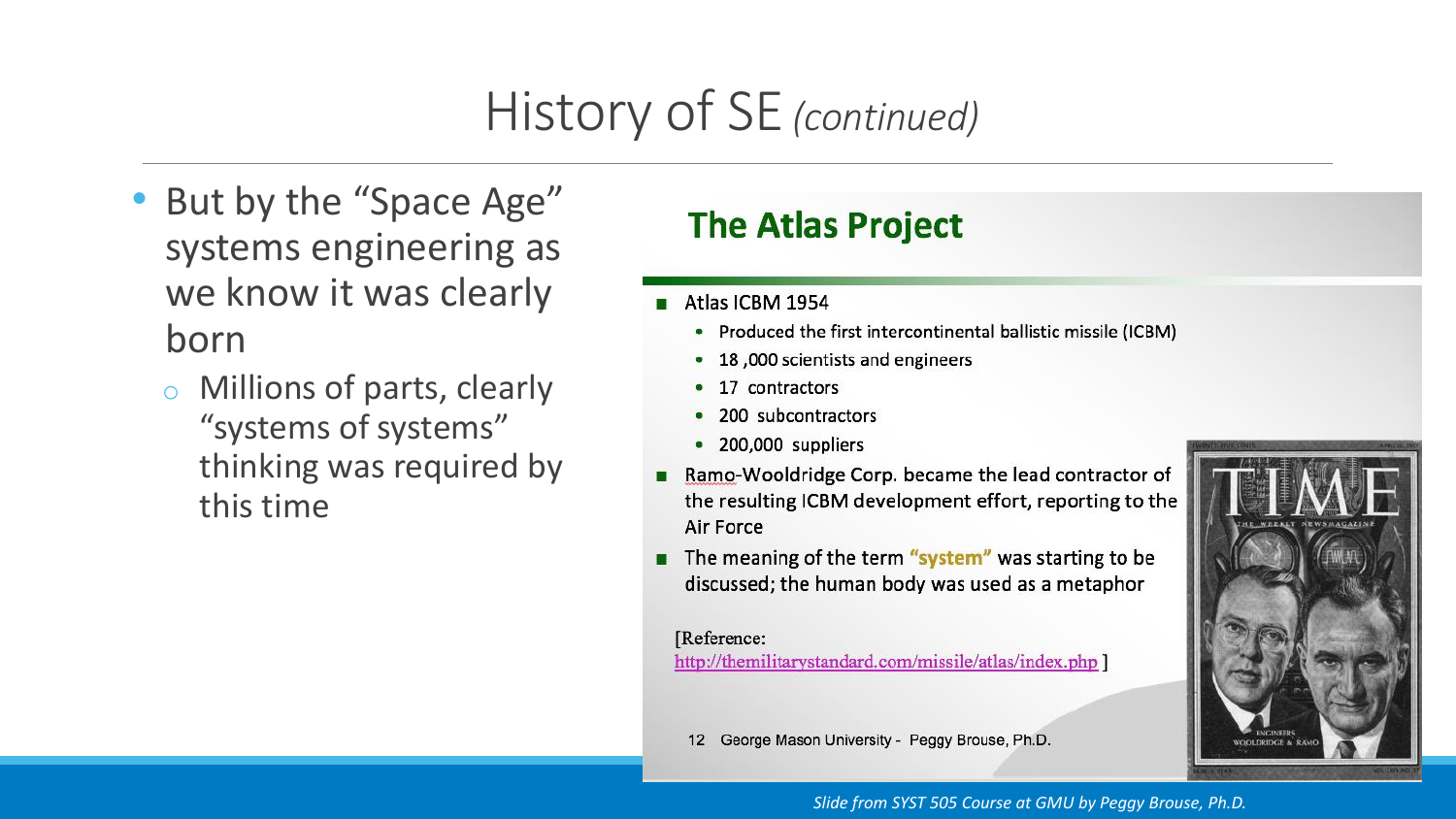## History of SE *(continued)*

- But by the "Space Age" systems engineering as we know it was clearly born
	- o Millions of parts, clearly "systems of systems" thinking was required by this time

### **The Atlas Project**

- Atlas ICBM 1954
	- Produced the first intercontinental ballistic missile (ICBM)
	- 18,000 scientists and engineers
	- 17 contractors
	- 200 subcontractors
	- 200,000 suppliers
- Ramo-Wooldridge Corp. became the lead contractor of the resulting ICBM development effort, reporting to the Air Force
- The meaning of the term "system" was starting to be discussed; the human body was used as a metaphor

#### [Reference:

http://themilitarystandard.com/missile/atlas/index.php ]

George Mason University - Peggy Brouse, Ph.D.  $12$ 



#### *Slide from SYST 505 Course at GMU by Peggy Brouse, Ph.D.*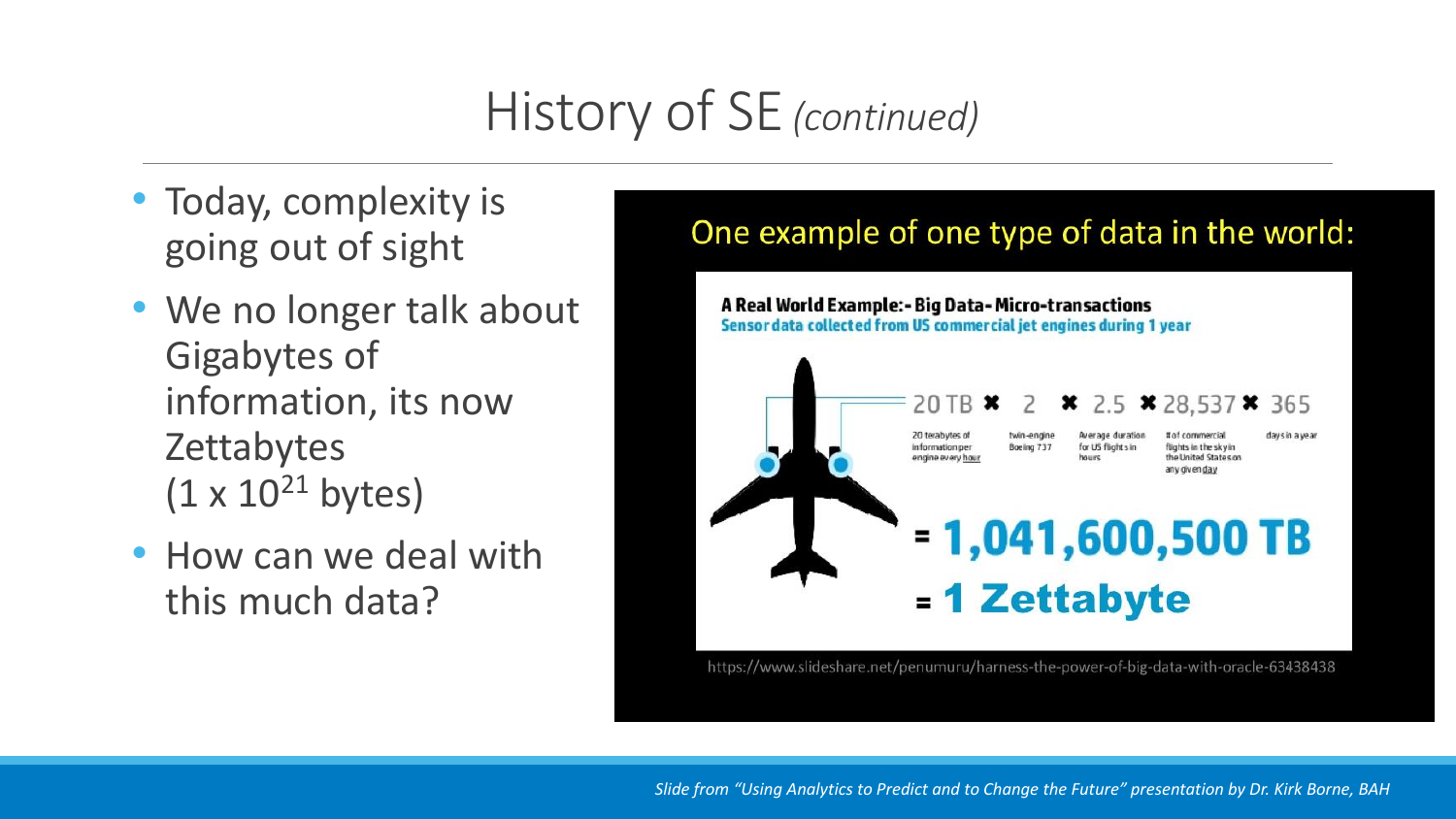## History of SE *(continued)*

- Today, complexity is going out of sight
- We no longer talk about Gigabytes of information, its now **Zettabytes**  $(1 \times 10^{21}$  bytes)
- How can we deal with this much data?

### One example of one type of data in the world:



https://www.slideshare.net/penumuru/harness-the-power-of-big-data-with-oracle-63438438

*Slide from "Using Analytics to Predict and to Change the Future" presentation by Dr. Kirk Borne, BAH*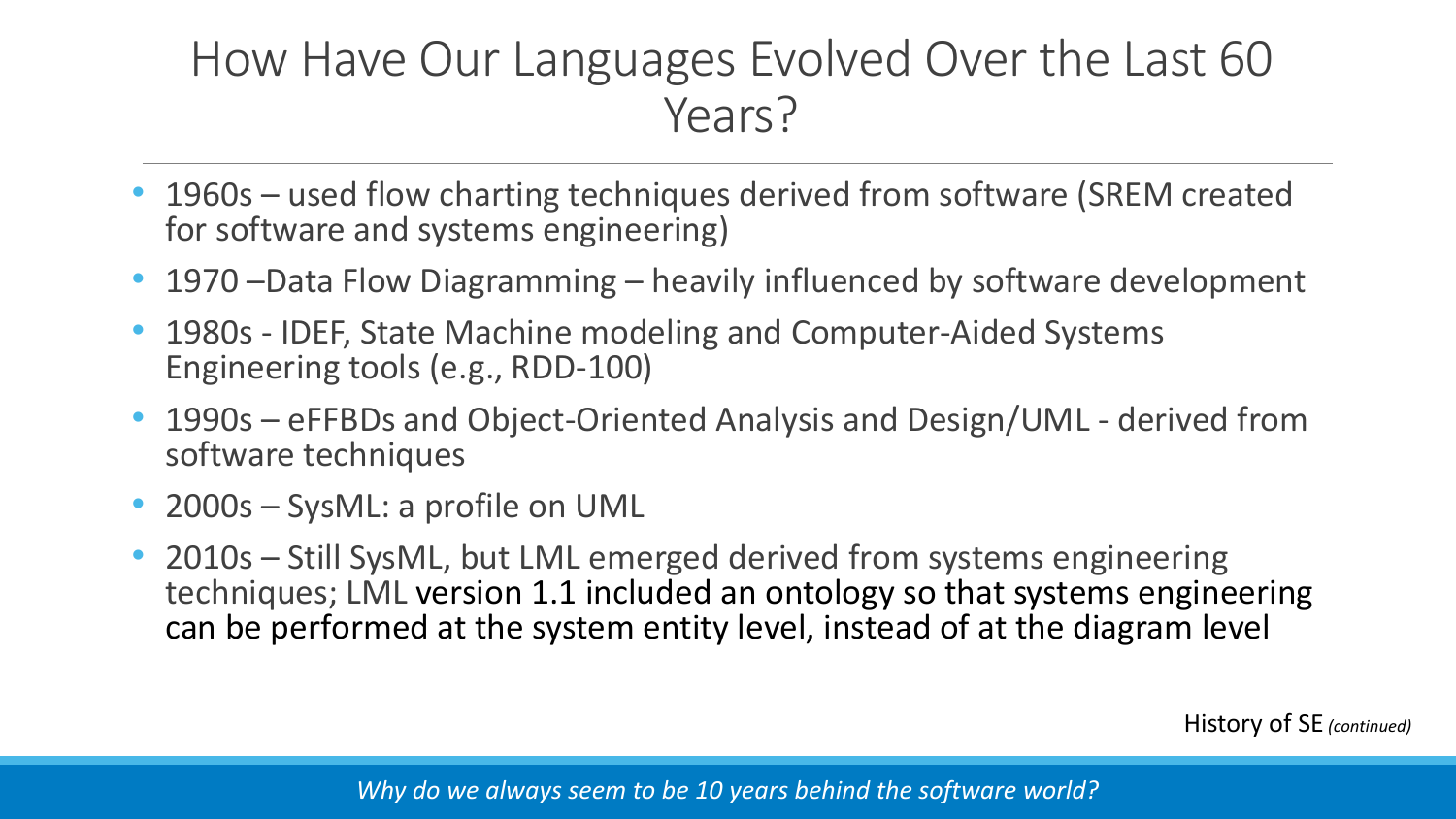### How Have Our Languages Evolved Over the Last 60 Years?

- 1960s used flow charting techniques derived from software (SREM created for software and systems engineering)
- 1970 Data Flow Diagramming heavily influenced by software development
- 1980s IDEF, State Machine modeling and Computer-Aided Systems Engineering tools (e.g., RDD-100)
- 1990s eFFBDs and Object-Oriented Analysis and Design/UML derived from software techniques
- 2000s SysML: a profile on UML
- 2010s Still SysML, but LML emerged derived from systems engineering techniques; LML version 1.1 included an ontology so that systems engineering can be performed at the system entity level, instead of at the diagram level

History of SE *(continued)*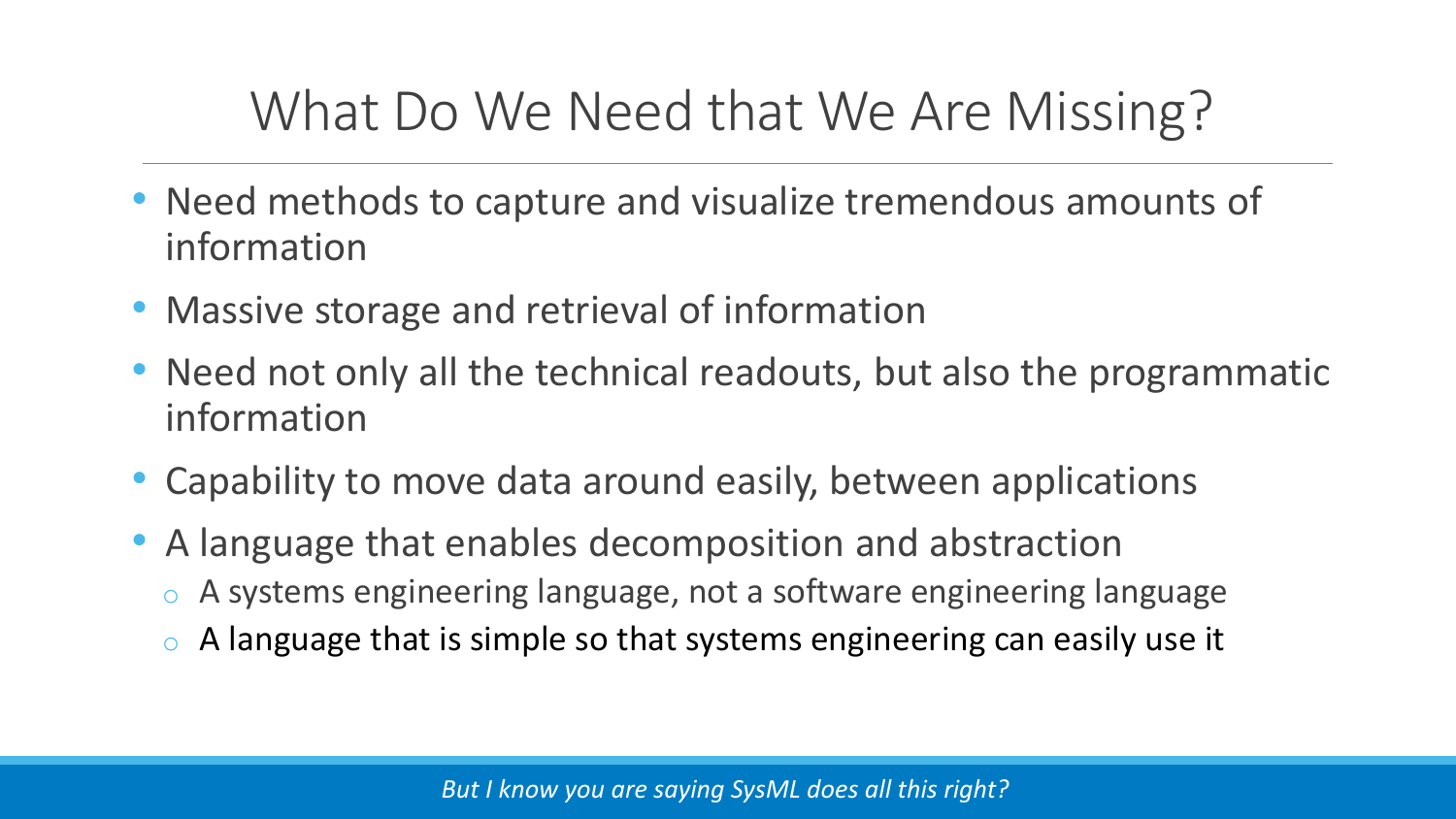### What Do We Need that We Are Missing?

- Need methods to capture and visualize tremendous amounts of information
- Massive storage and retrieval of information
- Need not only all the technical readouts, but also the programmatic information
- Capability to move data around easily, between applications
- A language that enables decomposition and abstraction
	- o A systems engineering language, not a software engineering language
	- $\circ$  A language that is simple so that systems engineering can easily use it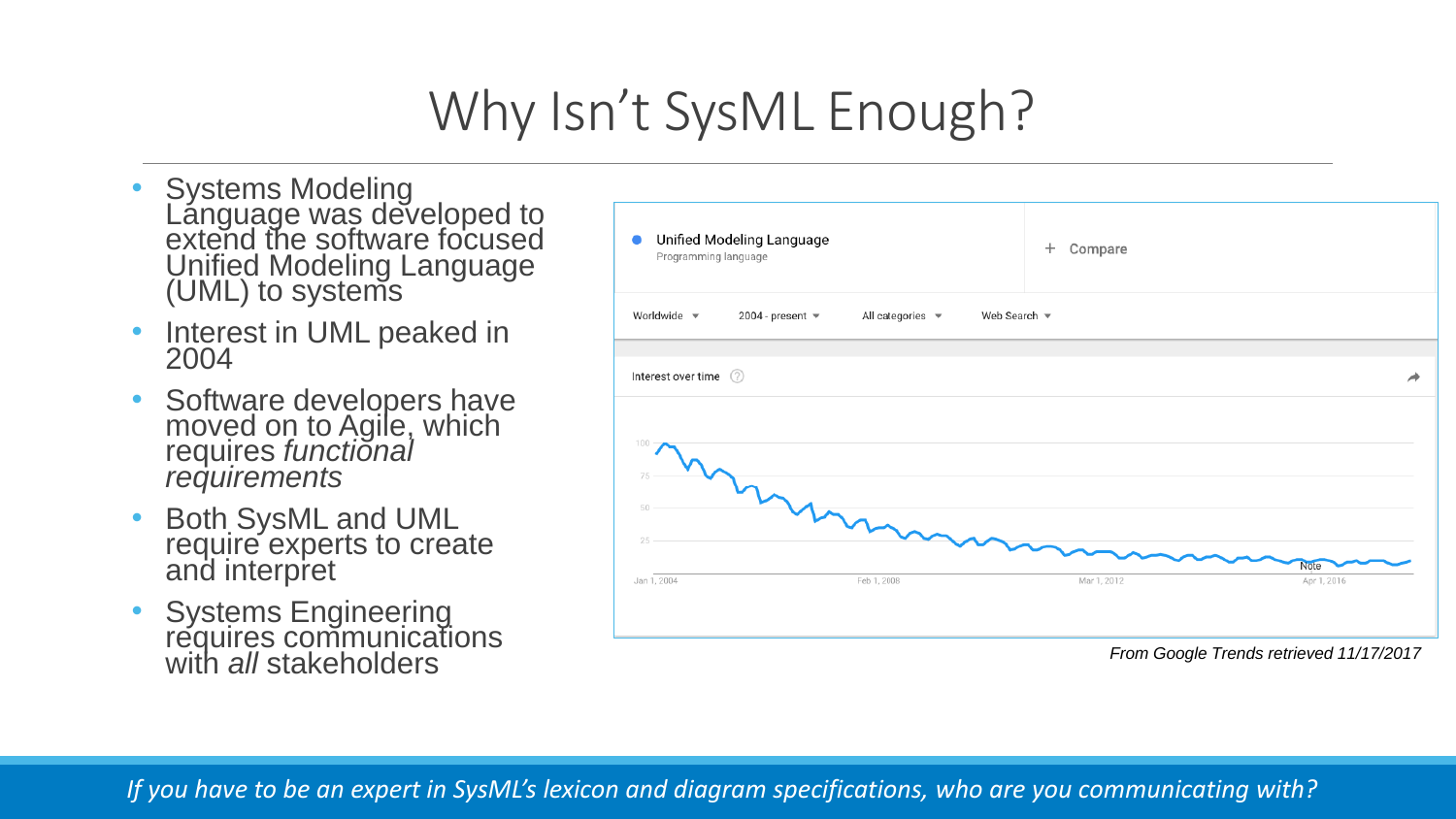## Why Isn't SysML Enough?

- Systems Modeling Language was developed to extend the software focused Unified Modeling Language (UML) to systems
- Interest in UML peaked in 2004
- Software developers have moved on to Agile, which requires *functional requirements*
- Both SysML and UML require experts to create and interpret
- Systems Engineering requires communications with *all* stakeholders *From Google Trends retrieved 11/17/2017*



*If you have to be an expert in SysML's lexicon and diagram specifications, who are you communicating with?*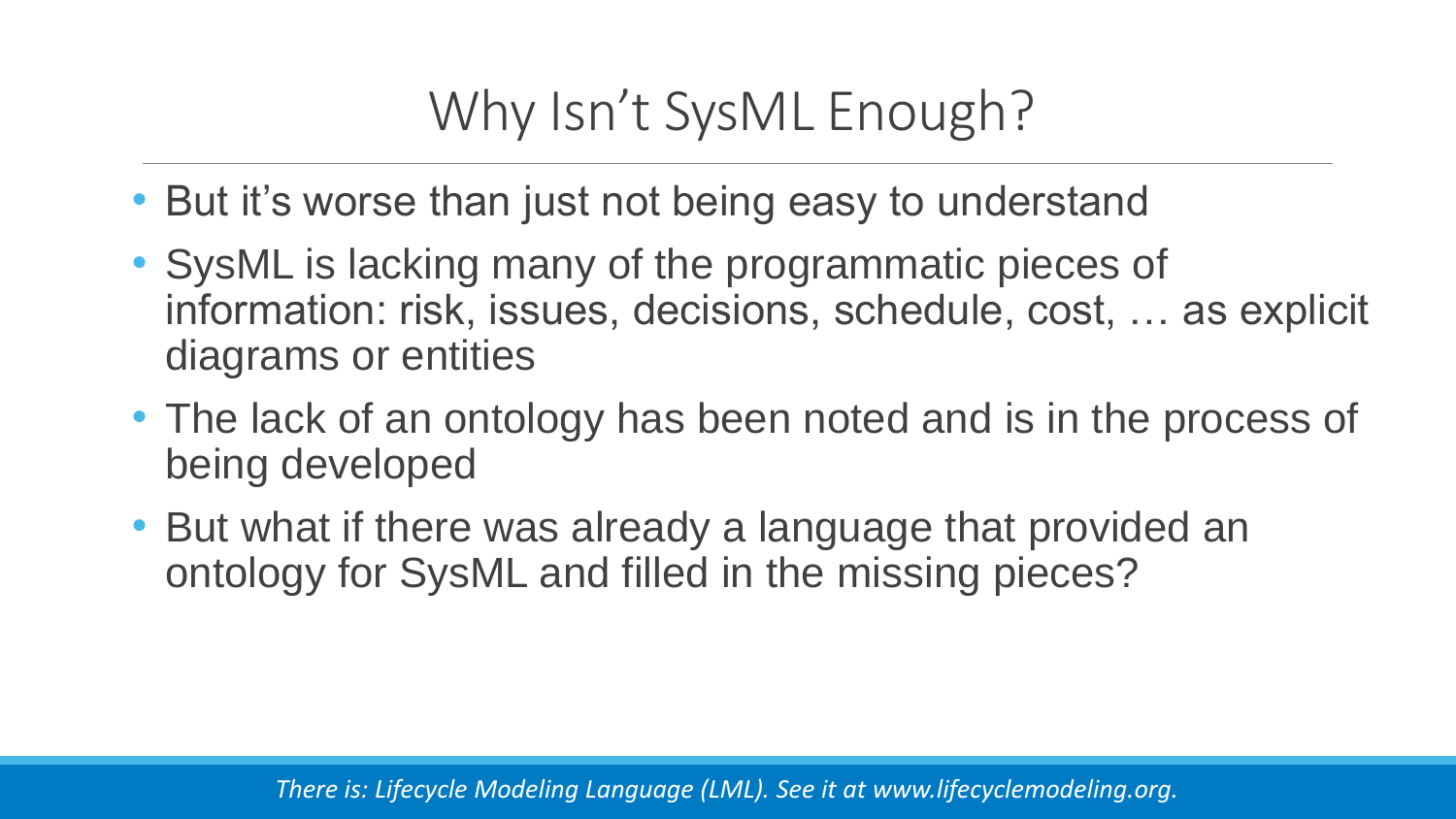## Why Isn't SysML Enough?

- But it's worse than just not being easy to understand
- SysML is lacking many of the programmatic pieces of information: risk, issues, decisions, schedule, cost, … as explicit diagrams or entities
- The lack of an ontology has been noted and is in the process of being developed
- But what if there was already a language that provided an ontology for SysML and filled in the missing pieces?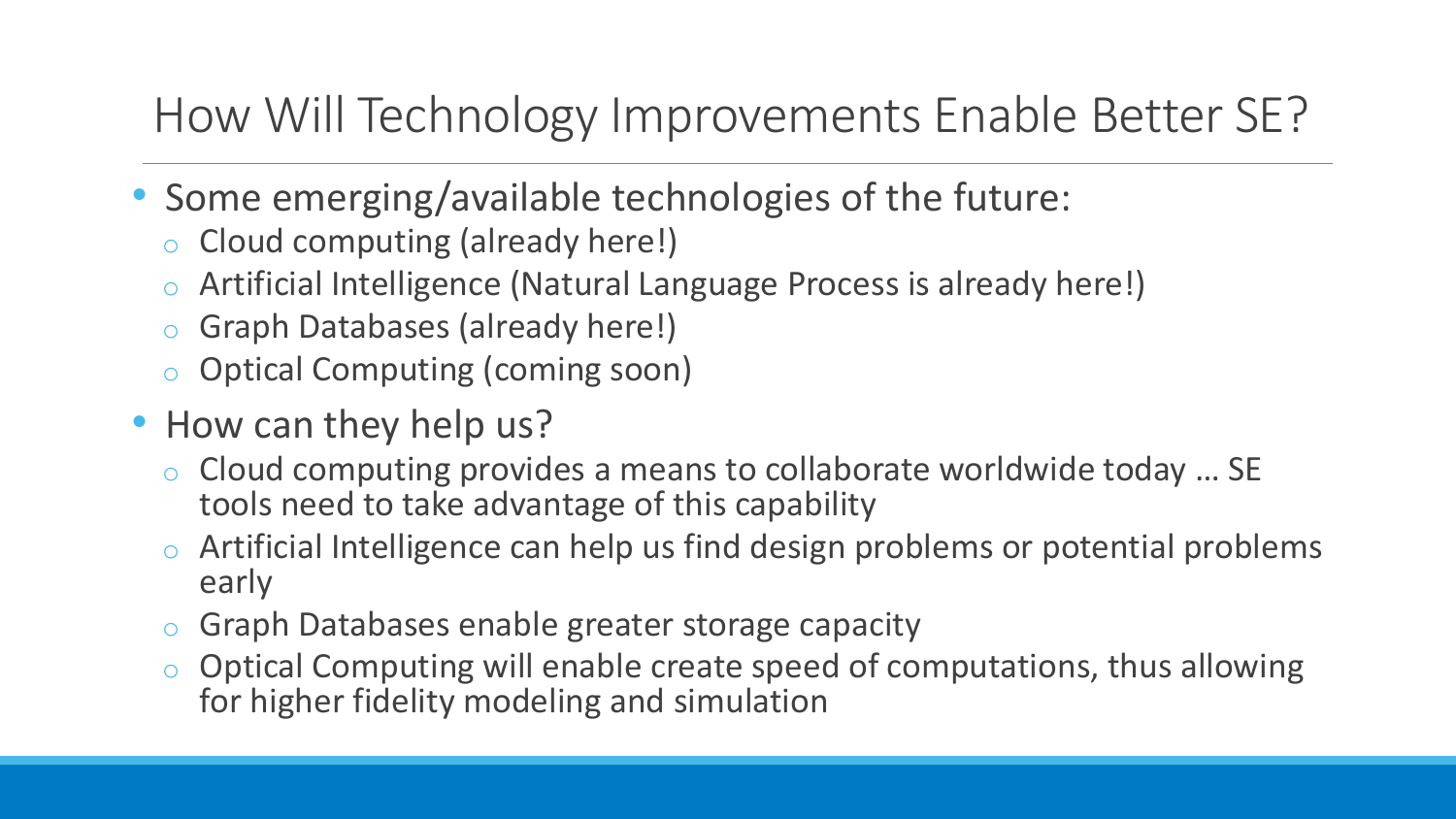### How Will Technology Improvements Enable Better SE?

- Some emerging/available technologies of the future:
	- o Cloud computing (already here!)
	- o Artificial Intelligence (Natural Language Process is already here!)
	- o Graph Databases (already here!)
	- o Optical Computing (coming soon)
- How can they help us?
	- o Cloud computing provides a means to collaborate worldwide today … SE tools need to take advantage of this capability
	- o Artificial Intelligence can help us find design problems or potential problems early
	- o Graph Databases enable greater storage capacity
	- o Optical Computing will enable create speed of computations, thus allowing for higher fidelity modeling and simulation